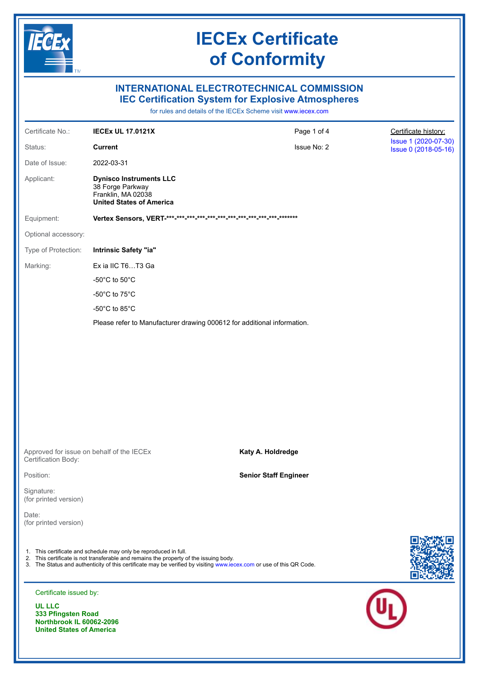

**United States of America** 

## **IECEx Certificate** of Conformity

### **INTERNATIONAL ELECTROTECHNICAL COMMISSION IEC Certification System for Explosive Atmospheres**

for rules and details of the IECEx Scheme visit www.iecex.com

| Certificate No.:                                                | <b>IECEX UL 17.0121X</b>                                                                                                                                                                                                                                                          | Page 1 of 4                  | Certificate history:                         |
|-----------------------------------------------------------------|-----------------------------------------------------------------------------------------------------------------------------------------------------------------------------------------------------------------------------------------------------------------------------------|------------------------------|----------------------------------------------|
| Status:                                                         | <b>Current</b>                                                                                                                                                                                                                                                                    | Issue No: 2                  | Issue 1 (2020-07-30)<br>Issue 0 (2018-05-16) |
| Date of Issue:                                                  | 2022-03-31                                                                                                                                                                                                                                                                        |                              |                                              |
| Applicant:                                                      | <b>Dynisco Instruments LLC</b><br>38 Forge Parkway<br>Franklin, MA 02038<br><b>United States of America</b>                                                                                                                                                                       |                              |                                              |
| Equipment:                                                      |                                                                                                                                                                                                                                                                                   |                              |                                              |
| Optional accessory:                                             |                                                                                                                                                                                                                                                                                   |                              |                                              |
| Type of Protection:                                             | Intrinsic Safety "ia"                                                                                                                                                                                                                                                             |                              |                                              |
| Marking:                                                        | Ex ia IIC T6T3 Ga                                                                                                                                                                                                                                                                 |                              |                                              |
|                                                                 | -50 $^{\circ}$ C to 50 $^{\circ}$ C                                                                                                                                                                                                                                               |                              |                                              |
|                                                                 | -50 $^{\circ}$ C to 75 $^{\circ}$ C                                                                                                                                                                                                                                               |                              |                                              |
|                                                                 | -50 $^{\circ}$ C to 85 $^{\circ}$ C                                                                                                                                                                                                                                               |                              |                                              |
|                                                                 | Please refer to Manufacturer drawing 000612 for additional information.                                                                                                                                                                                                           |                              |                                              |
|                                                                 |                                                                                                                                                                                                                                                                                   |                              |                                              |
| Certification Body:                                             | Approved for issue on behalf of the IECEx                                                                                                                                                                                                                                         | Katy A. Holdredge            |                                              |
| Position:                                                       |                                                                                                                                                                                                                                                                                   | <b>Senior Staff Engineer</b> |                                              |
| Signature:<br>(for printed version)                             |                                                                                                                                                                                                                                                                                   |                              |                                              |
| Date:<br>(for printed version)                                  |                                                                                                                                                                                                                                                                                   |                              |                                              |
|                                                                 | 1. This certificate and schedule may only be reproduced in full.<br>2. This certificate is not transferable and remains the property of the issuing body.<br>3. The Status and authenticity of this certificate may be verified by visiting www.iecex.com or use of this QR Code. |                              |                                              |
| Certificate issued by:                                          |                                                                                                                                                                                                                                                                                   |                              |                                              |
| <b>UL LLC</b><br>333 Pfingsten Road<br>Northbrook II 60062-2006 |                                                                                                                                                                                                                                                                                   |                              |                                              |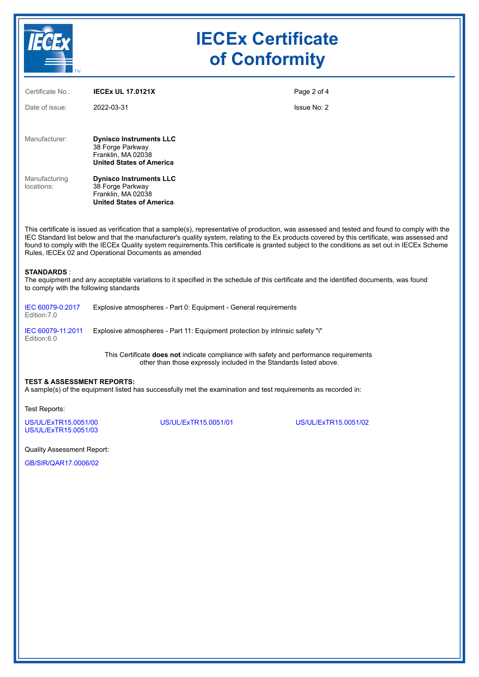

## **IECEx Certificate of Conformity**

| Certificate No.:            | <b>IECEX UL 17.0121X</b>                                                                                                                                                                                                                                                                                                                                                                                                                                                                                 | Page 2 of 4 |
|-----------------------------|----------------------------------------------------------------------------------------------------------------------------------------------------------------------------------------------------------------------------------------------------------------------------------------------------------------------------------------------------------------------------------------------------------------------------------------------------------------------------------------------------------|-------------|
| Date of issue:              | 2022-03-31                                                                                                                                                                                                                                                                                                                                                                                                                                                                                               | Issue No: 2 |
| Manufacturer:               | <b>Dynisco Instruments LLC</b><br>38 Forge Parkway<br>Franklin, MA 02038                                                                                                                                                                                                                                                                                                                                                                                                                                 |             |
| Manufacturing<br>locations: | <b>United States of America</b><br><b>Dynisco Instruments LLC</b><br>38 Forge Parkway<br>Franklin, MA 02038<br><b>United States of America</b>                                                                                                                                                                                                                                                                                                                                                           |             |
|                             | This certificate is issued as verification that a sample(s), representative of production, was assessed and tested and found to comply with the<br>IEC Standard list below and that the manufacturer's quality system, relating to the Ex products covered by this certificate, was assessed and<br>found to comply with the IECEx Quality system requirements. This certificate is granted subject to the conditions as set out in IECEx Scheme<br>Rules, IECEx 02 and Operational Documents as amended |             |

#### **STANDARDS** :

The equipment and any acceptable variations to it specified in the schedule of this certificate and the identified documents, was found to comply with the following standards

| IEC 60079-0:2017<br>Edition: 7.0 | Explosive atmospheres - Part 0: Equipment - General requirements              |
|----------------------------------|-------------------------------------------------------------------------------|
| IEC 60079-11:2011<br>Edition:6.0 | Explosive atmospheres - Part 11: Equipment protection by intrinsic safety "i" |

This Certificate **does not** indicate compliance with safety and performance requirements other than those expressly included in the Standards listed above.

#### **TEST & ASSESSMENT REPORTS:**

A sample(s) of the equipment listed has successfully met the examination and test requirements as recorded in:

Test Reports:

[US/UL/ExTR15.0051/00](https://www.iecex-certs.com/#/deliverables/REPORT/36965/view) [US/UL/ExTR15.0051/01](https://www.iecex-certs.com/#/deliverables/REPORT/36957/view) [US/UL/ExTR15.0051/02](https://www.iecex-certs.com/#/deliverables/REPORT/67052/view) [US/UL/ExTR15.0051/03](https://www.iecex-certs.com/#/deliverables/REPORT/79852/view)

Quality Assessment Report:

[GB/SIR/QAR17.0006/02](https://www.iecex-certs.com/#/deliverables/REPORT/76009/view)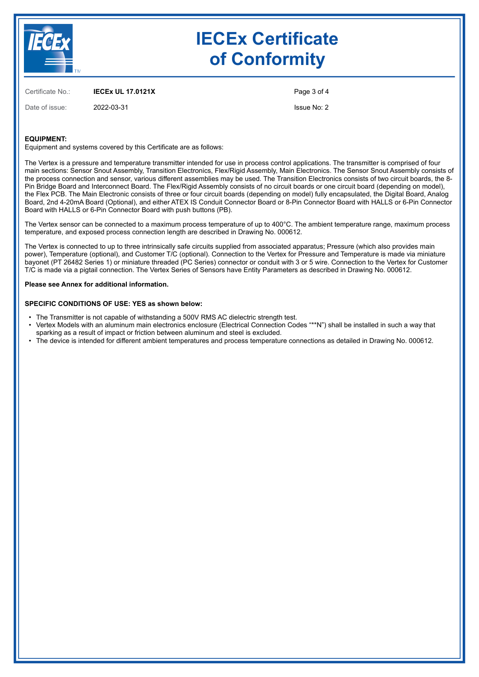

## **IECEx Certificate of Conformity**

Certificate No.: **IECEx UL 17.0121X**

Date of issue: 2022-03-31

Page 3 of 4

Issue No: 2

#### **EQUIPMENT:**

Equipment and systems covered by this Certificate are as follows:

The Vertex is a pressure and temperature transmitter intended for use in process control applications. The transmitter is comprised of four main sections: Sensor Snout Assembly, Transition Electronics, Flex/Rigid Assembly, Main Electronics. The Sensor Snout Assembly consists of the process connection and sensor, various different assemblies may be used. The Transition Electronics consists of two circuit boards, the 8- Pin Bridge Board and Interconnect Board. The Flex/Rigid Assembly consists of no circuit boards or one circuit board (depending on model), the Flex PCB. The Main Electronic consists of three or four circuit boards (depending on model) fully encapsulated, the Digital Board, Analog Board, 2nd 4-20mA Board (Optional), and either ATEX IS Conduit Connector Board or 8-Pin Connector Board with HALLS or 6-Pin Connector Board with HALLS or 6-Pin Connector Board with push buttons (PB).

The Vertex sensor can be connected to a maximum process temperature of up to 400°C. The ambient temperature range, maximum process temperature, and exposed process connection length are described in Drawing No. 000612.

The Vertex is connected to up to three intrinsically safe circuits supplied from associated apparatus; Pressure (which also provides main power), Temperature (optional), and Customer T/C (optional). Connection to the Vertex for Pressure and Temperature is made via miniature bayonet (PT 26482 Series 1) or miniature threaded (PC Series) connector or conduit with 3 or 5 wire. Connection to the Vertex for Customer T/C is made via a pigtail connection. The Vertex Series of Sensors have Entity Parameters as described in Drawing No. 000612.

#### **Please see Annex for additional information.**

#### **SPECIFIC CONDITIONS OF USE: YES as shown below:**

- The Transmitter is not capable of withstanding a 500V RMS AC dielectric strength test.
- Vertex Models with an aluminum main electronics enclosure (Electrical Connection Codes "\*\*N") shall be installed in such a way that sparking as a result of impact or friction between aluminum and steel is excluded.
- The device is intended for different ambient temperatures and process temperature connections as detailed in Drawing No. 000612.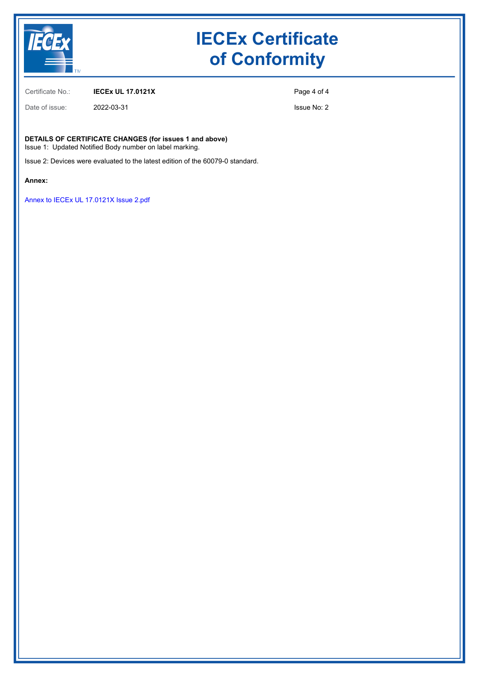

## **IECEx Certificate of Conformity**

Certificate No.: **IECEx UL 17.0121X**

Date of issue: 2022-03-31

Page 4 of 4

Issue No: 2

**DETAILS OF CERTIFICATE CHANGES (for issues 1 and above)**

Issue 1: Updated Notified Body number on label marking.

Issue 2: Devices were evaluated to the latest edition of the 60079-0 standard.

**Annex:**

[Annex to IECEx UL 17.0121X Issue 2.pdf](https://www.iecex-certs.com/#/deliverables/CERT/58400/view)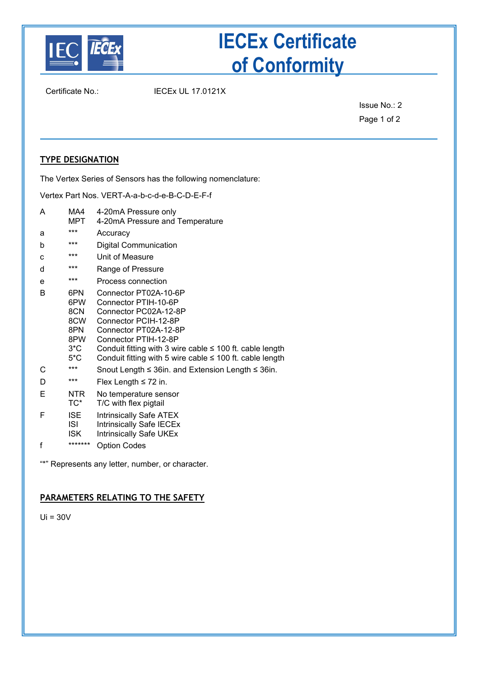

# **IECEx Certificate of Conformity**

Certificate No.: IECEx UL 17.0121X

Issue No.: 2 Page 1 of 2

### **TYPE DESIGNATION**

The Vertex Series of Sensors has the following nomenclature:

Vertex Part Nos. VERT-A-a-b-c-d-e-B-C-D-E-F-f

- A MA4 4-20mA Pressure only<br>MPT 4-20mA Pressure and 4-20mA Pressure and Temperature
- a \*\*\* Accuracy b \*\*\* Digital Communication c \*\*\* Unit of Measure d \*\*\* Range of Pressure e \*\*\* Process connection B 6PN Connector PT02A-10-6P<br>6PW Connector PTIH-10-6P 6PW Connector PTIH-10-6P 8CN Connector PC02A-12-8P<br>8CW Connector PCIH-12-8P 8CW Connector PCIH-12-8P<br>8PN Connector PT02A-12-8 8PN Connector PT02A-12-8P<br>8PW Connector PTIH-12-8P 8PW Connector PTIH-12-8P<br>3<sup>\*</sup>C Conduit fitting with 3 wire 3\*C Conduit fitting with 3 wire cable ≤ 100 ft. cable length 5\*C Conduit fitting with 5 wire cable ≤ 100 ft. cable length Conduit fitting with 5 wire cable  $\leq 100$  ft. cable length C \*\*\* Snout Length ≤ 36in. and Extension Length ≤ 36in. D \*\*\* Flex Length ≤ 72 in. E NTR No temperature sensor TC\* T/C with flex pigtail F ISE Intrinsically Safe ATEX ISI Intrinsically Safe IECEx ISK Intrinsically Safe UKEx f \*\*\*\*\*\*\* Option Codes

"\*" Represents any letter, number, or character.

### **PARAMETERS RELATING TO THE SAFETY**

 $Ui = 30V$